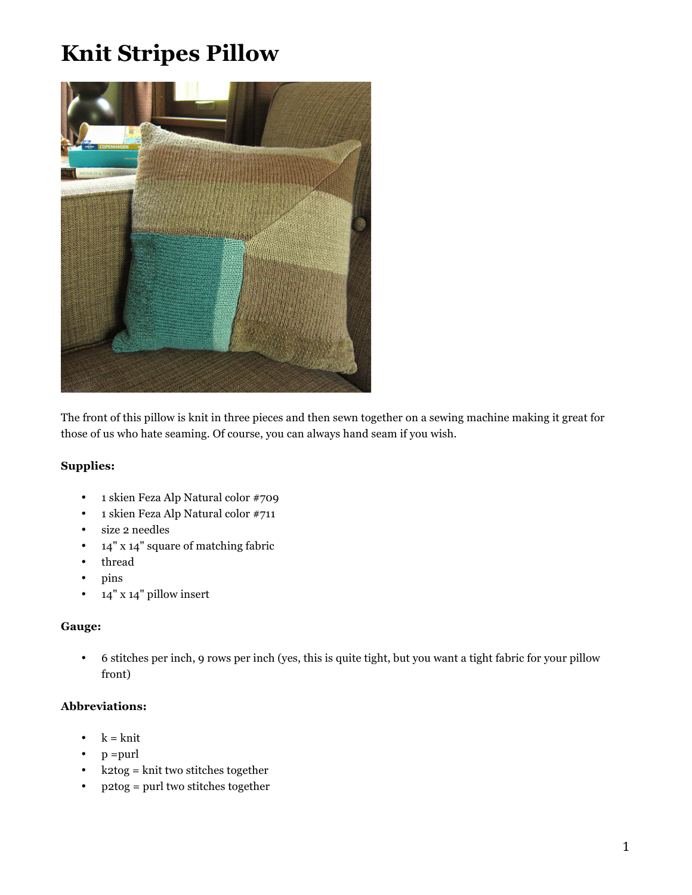# **Knit Stripes Pillow**



The front of this pillow is knit in three pieces and then sewn together on a sewing machine making it great for those of us who hate seaming. Of course, you can always hand seam if you wish.

## **Supplies:**

- 1 skien Feza Alp Natural color #709
- 1 skien Feza Alp Natural color #711
- size 2 needles
- 14" x 14" square of matching fabric
- thread
- pins
- 14" x 14" pillow insert

### **Gauge:**

• 6 stitches per inch, 9 rows per inch (yes, this is quite tight, but you want a tight fabric for your pillow front)

# **Abbreviations:**

- $k = k$ nit
- $p = purl$
- k2tog = knit two stitches together
- p2tog = purl two stitches together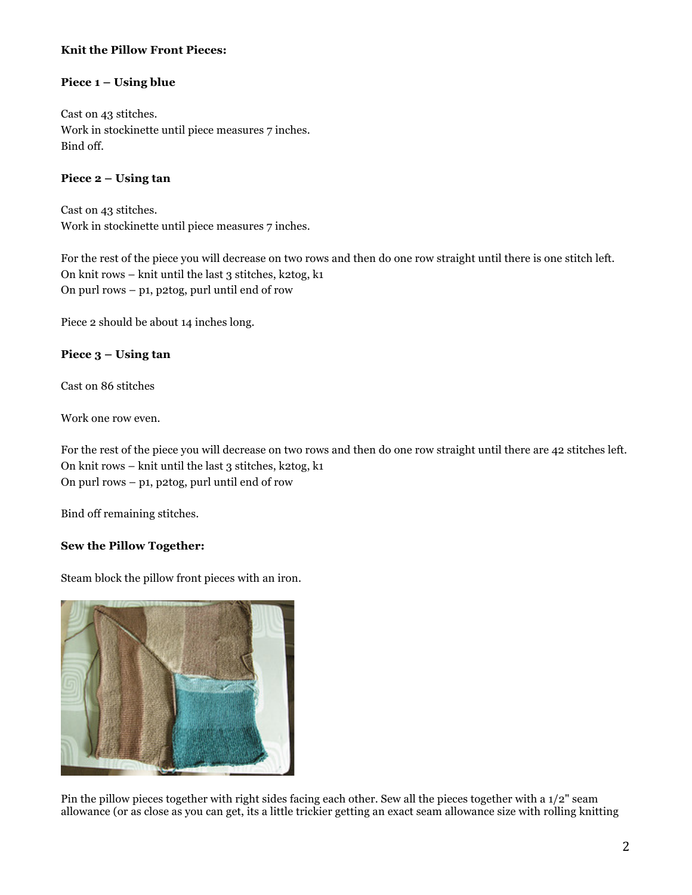# **Knit the Pillow Front Pieces:**

## **Piece 1 – Using blue**

Cast on 43 stitches. Work in stockinette until piece measures 7 inches. Bind off.

## **Piece 2 – Using tan**

Cast on 43 stitches. Work in stockinette until piece measures 7 inches.

For the rest of the piece you will decrease on two rows and then do one row straight until there is one stitch left. On knit rows – knit until the last 3 stitches, k2tog, k1 On purl rows – p1, p2tog, purl until end of row

Piece 2 should be about 14 inches long.

### **Piece 3 – Using tan**

Cast on 86 stitches

Work one row even.

For the rest of the piece you will decrease on two rows and then do one row straight until there are 42 stitches left. On knit rows – knit until the last 3 stitches, k2tog, k1 On purl rows – p1, p2tog, purl until end of row

Bind off remaining stitches.

### **Sew the Pillow Together:**

Steam block the pillow front pieces with an iron.



Pin the pillow pieces together with right sides facing each other. Sew all the pieces together with a 1/2" seam allowance (or as close as you can get, its a little trickier getting an exact seam allowance size with rolling knitting